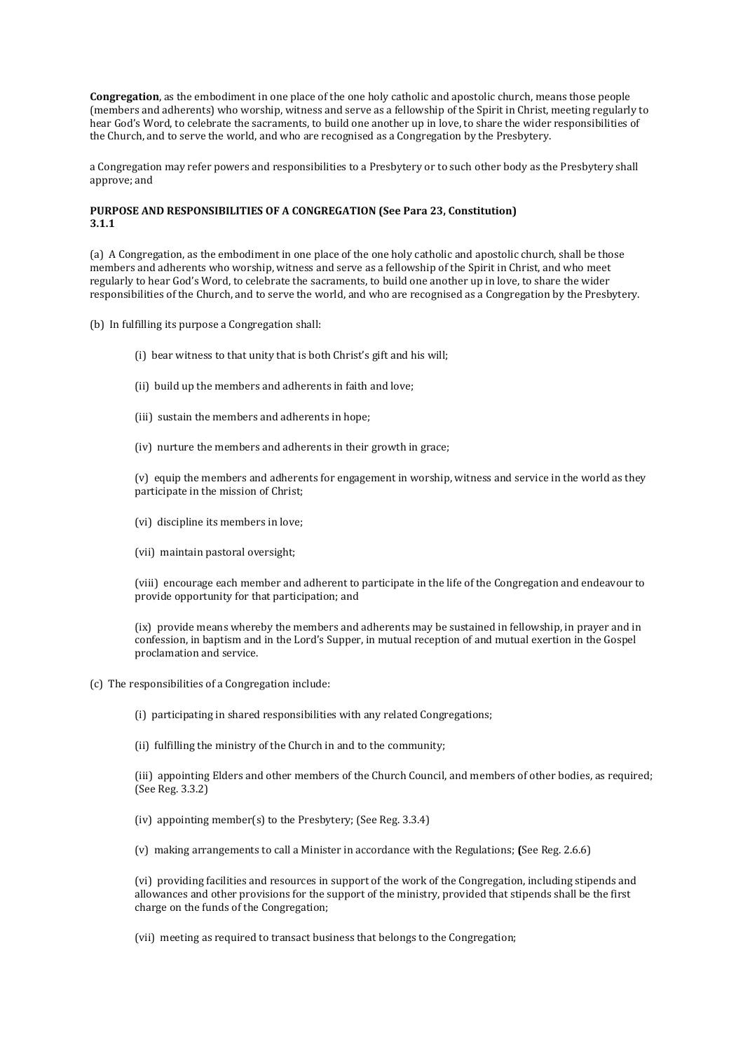**Congregation**, as the embodiment in one place of the one holy catholic and apostolic church, means those people (members and adherents) who worship, witness and serve as a fellowship of the Spirit in Christ, meeting regularly to hear God's Word, to celebrate the sacraments, to build one another up in love, to share the wider responsibilities of the Church, and to serve the world, and who are recognised as a Congregation by the Presbytery.

a Congregation may refer powers and responsibilities to a Presbytery or to such other body as the Presbytery shall approve; and

## **PURPOSE AND RESPONSIBILITIES OF A CONGREGATION (See Para 23, Constitution) 3.1.1**

(a) A Congregation, as the embodiment in one place of the one holy catholic and apostolic church, shall be those members and adherents who worship, witness and serve as a fellowship of the Spirit in Christ, and who meet regularly to hear God's Word, to celebrate the sacraments, to build one another up in love, to share the wider responsibilities of the Church, and to serve the world, and who are recognised as a Congregation by the Presbytery.

(b) In fulfilling its purpose a Congregation shall:

- (i) bear witness to that unity that is both Christ's gift and his will;
- (ii) build up the members and adherents in faith and love;
- (iii) sustain the members and adherents in hope;
- (iv) nurture the members and adherents in their growth in grace;

(v) equip the members and adherents for engagement in worship, witness and service in the world as they participate in the mission of Christ;

- (vi) discipline its members in love;
- (vii) maintain pastoral oversight;

(viii) encourage each member and adherent to participate in the life of the Congregation and endeavour to provide opportunity for that participation; and

(ix) provide means whereby the members and adherents may be sustained in fellowship, in prayer and in confession, in baptism and in the Lord's Supper, in mutual reception of and mutual exertion in the Gospel proclamation and service.

(c) The responsibilities of a Congregation include:

(i) participating in shared responsibilities with any related Congregations;

(ii) fulfilling the ministry of the Church in and to the community;

(iii) appointing Elders and other members of the Church Council, and members of other bodies, as required; (See Reg. 3.3.2)

(iv) appointing member(s) to the Presbytery; (See Reg. 3.3.4)

(v) making arrangements to call a Minister in accordance with the Regulations; **(**See Reg. 2.6.6)

(vi) providing facilities and resources in support of the work of the Congregation, including stipends and allowances and other provisions for the support of the ministry, provided that stipends shall be the first charge on the funds of the Congregation;

(vii) meeting as required to transact business that belongs to the Congregation;